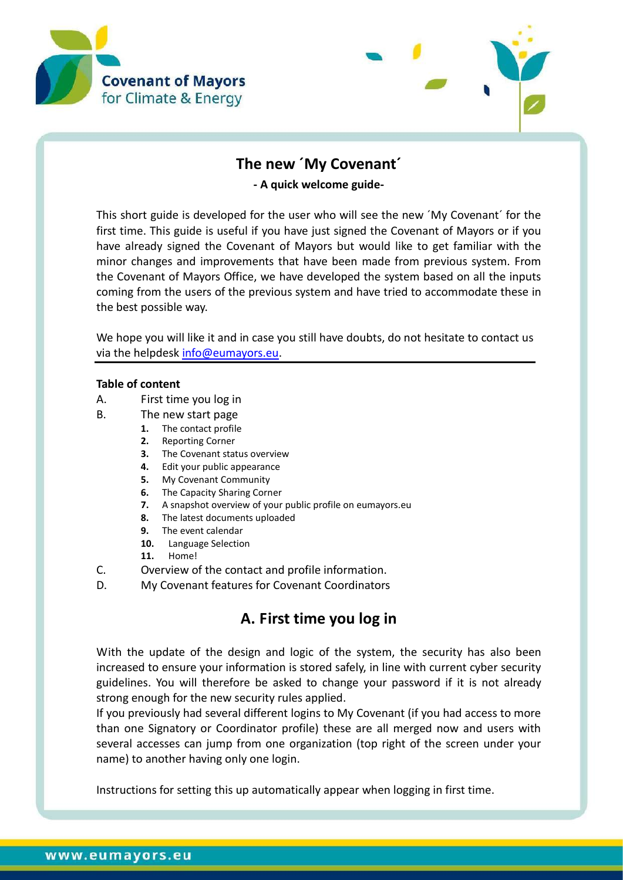



# **The new ´My Covenant´**

**- A quick welcome guide-**

This short guide is developed for the user who will see the new ´My Covenant´ for the first time. This guide is useful if you have just signed the Covenant of Mayors or if you have already signed the Covenant of Mayors but would like to get familiar with the minor changes and improvements that have been made from previous system. From the Covenant of Mayors Office, we have developed the system based on all the inputs coming from the users of the previous system and have tried to accommodate these in the best possible way.

We hope you will like it and in case you still have doubts, do not hesitate to contact us via the helpdesk [info@eumayors.eu.](mailto:info@eumayors.eu)

#### **Table of content**

- A. [First time you log in](#page-0-0)
- B. [The new start page](#page-1-0)
	- **1.** [The contact profile](#page-2-0)
		- **2.** [Reporting Corner](#page-2-1)
		- **3.** [The Covenant status overview](#page-5-0)
		- **4.** [Edit your public appearance](#page-5-1)
		- **5.** [My Covenant Community](#page-6-0)
		- **6.** The Capacity [Sharing Corner](#page-6-1)
		- **7.** [A snapshot overview of your public profile on eumayors.eu](#page-7-0)
		- **8.** [The latest documents uploaded](#page-8-0)
		- **9.** [The event calendar](#page-8-1)
		- **10.** [Language Selection](#page-8-2)
		- **11.** [Home!](#page-8-3)
- C. [Overview of the contact and profile information.](#page-9-0)
- D. [My Covenant features for Covenant Coordinators](#page-10-0)

# <span id="page-0-0"></span>**A. First time you log in**

With the update of the design and logic of the system, the security has also been increased to ensure your information is stored safely, in line with current cyber security guidelines. You will therefore be asked to change your password if it is not already strong enough for the new security rules applied.

If you previously had several different logins to My Covenant (if you had access to more than one Signatory or Coordinator profile) these are all merged now and users with several accesses can jump from one organization (top right of the screen under your name) to another having only one login.

Instructions for setting this up automatically appear when logging in first time.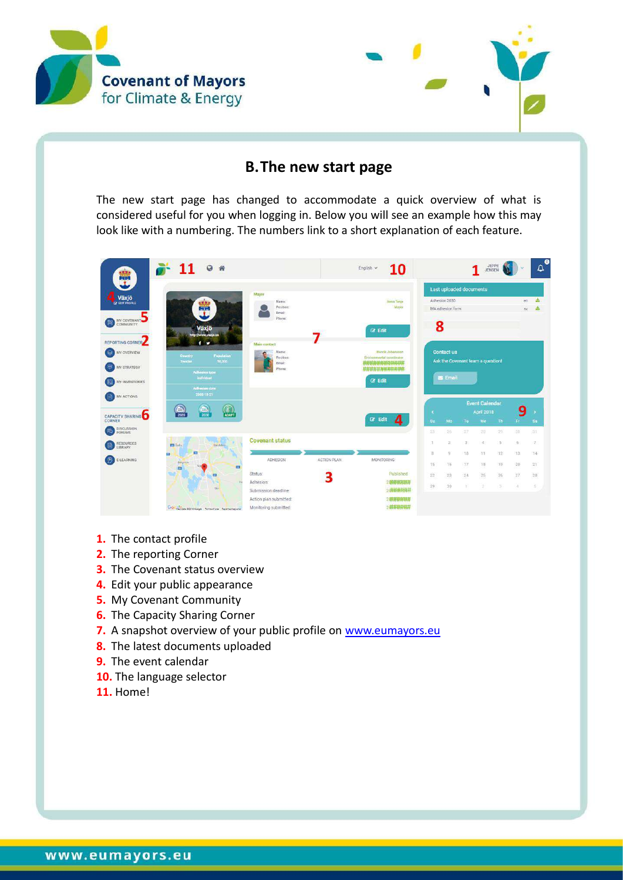



#### **B.The new start page**

<span id="page-1-0"></span>The new start page has changed to accommodate a quick overview of what is considered useful for you when logging in. Below you will see an example how this may look like with a numbering. The numbers link to a short explanation of each feature.

| Ŧ                                        |                                           |                                                |                                  |              | Last uploaded documents           |    |                       |                |               |                |
|------------------------------------------|-------------------------------------------|------------------------------------------------|----------------------------------|--------------|-----------------------------------|----|-----------------------|----------------|---------------|----------------|
| Växjö<br>×                               |                                           | Mayur                                          |                                  |              |                                   |    |                       |                |               |                |
|                                          | <b>Fairs</b>                              | Name:<br>Position:                             | Anna Tenje<br>Mayor              |              | Adhesion 2030<br>MA adhesion form |    |                       |                | en            | 土              |
|                                          |                                           | Email:                                         |                                  |              |                                   |    |                       |                | sv.           |                |
| MY COVENANT<br>COMMUNITY                 |                                           | Phone:                                         |                                  |              |                                   |    |                       |                |               |                |
|                                          | Växjö<br>http://www.vaxjo.se              |                                                | $C$ Edit                         | 8            |                                   |    |                       |                |               |                |
| REPORTING CORNER                         | $f$ $\theta$                              | Main contact                                   |                                  |              |                                   |    |                       |                |               |                |
| MY OVERVIEW<br>G                         |                                           | Name:                                          | Hennik Johanston                 |              | <b>Contact us</b>                 |    |                       |                |               |                |
|                                          | Population<br>Country<br>90,000<br>Sweden | Position:                                      | Elvironmental coordinator<br>    |              | Ask the Covenant team a question! |    |                       |                |               |                |
| MY STRATEGY                              |                                           | Email:<br>Phone:                               | **************                   |              |                                   |    |                       |                |               |                |
|                                          | <b>Adhesion</b> type<br>individual.       |                                                | <b>C</b> Edit                    |              | <b>Ex</b> Email                   |    |                       |                |               |                |
| MY INVENTORIES                           | Adhesion date                             |                                                |                                  |              |                                   |    |                       |                |               |                |
| MY ACTIONS                               | 2008-10-21                                |                                                |                                  |              |                                   |    |                       |                |               |                |
|                                          | $\circledR$<br>$\odot$                    |                                                |                                  |              |                                   |    | <b>Event Calendar</b> |                |               |                |
|                                          |                                           |                                                |                                  |              |                                   |    | <b>April 2018</b>     |                | 9             |                |
|                                          | $\odot$<br>2020<br><b>ADAPT</b>           |                                                |                                  |              |                                   |    |                       |                |               |                |
|                                          |                                           |                                                | $\overline{a}$<br><b>CZ</b> Edit | Su           | Mo                                | Tu | We                    | Th.            | Fr.           |                |
| <b>DISCUSSION</b><br><b>FORUMS</b>       |                                           |                                                |                                  | 25           | 26                                | 27 | 28                    | 291            | 30            |                |
|                                          |                                           | <b>Covenant status</b>                         |                                  | s            | 2                                 | 33 | $\sim$                | $5^{\circ}$    | $\frac{1}{2}$ |                |
| RESOURCES<br>LIBRARY                     | F. Gaby<br><b>Syndidics</b>               |                                                |                                  |              |                                   |    |                       |                |               |                |
| E-LEARNING                               | 四<br>63                                   | ADHESION                                       | ACTION PLAN<br><b>MONITORING</b> | $\mathbf{g}$ | $\mathcal{G}'$                    | 10 | 11                    | -12            | -13.          | $\tau$         |
|                                          | Bergsmäst<br>$\Box$<br>83                 |                                                |                                  | 1S           | 16                                | 37 | 18                    | 19             | $20 -$        | 31<br>21       |
|                                          | ED                                        | Status:                                        | Published                        | 22           | 23                                | 24 | 25                    | 26             | 27            | Sa<br>14<br>28 |
|                                          |                                           | Adhesion:                                      | 3<br>2 <del>春林前森群</del>          | 29           | 30                                |    | 2                     | $\overline{5}$ | $\lambda$     | $\leq$         |
| <b>CAPACITY SHARING</b><br><b>CORNER</b> | <b>Sig</b>                                | Submission deadline:<br>Action plan submitted: | 20神经结构移样<br>2011111111           |              |                                   |    |                       |                |               |                |

- **1.** The contact profile
- **2.** The reporting Corner
- **3.** The Covenant status overview
- **4.** Edit your public appearance
- **5.** My Covenant Community
- **6.** The Capacity Sharing Corner
- **7.** A snapshot overview of your public profile on [www.eumayors.eu](http://www.eumayors.eu/)
- **8.** The latest documents uploaded
- **9.** The event calendar
- **10.** The language selector
- **11.** Home!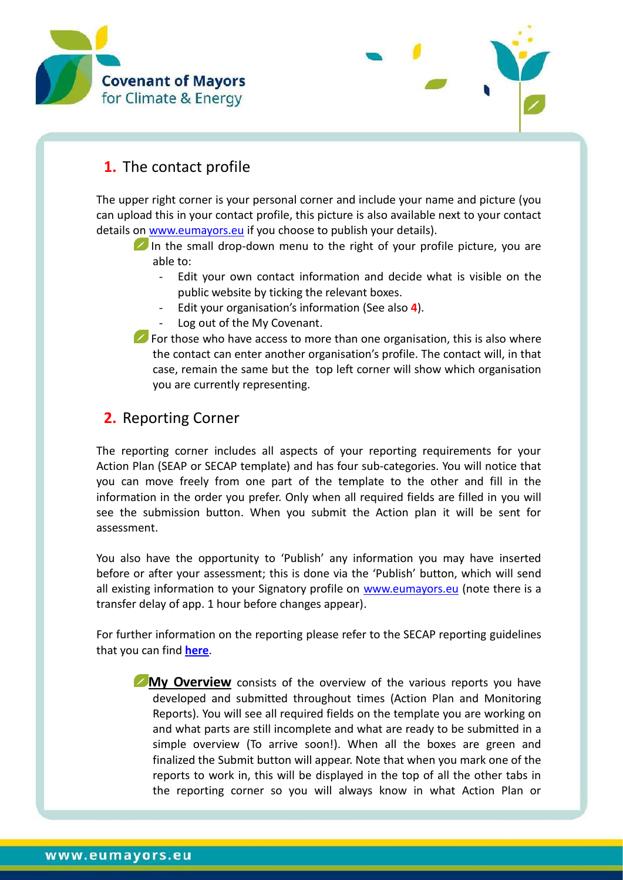



## <span id="page-2-0"></span>**1.** The contact profile

The upper right corner is your personal corner and include your name and picture (you can upload this in your contact profile, this picture is also available next to your contact details on [www.eumayors.eu](http://www.eumayors.eu/) if you choose to publish your details).

- In the small drop-down menu to the right of your profile picture, you are able to:
	- Edit your own contact information and decide what is visible on the public website by ticking the relevant boxes.
	- Edit your organisation's information (See also **4**).
	- Log out of the My Covenant.
- $\blacktriangleright$  For those who have access to more than one organisation, this is also where the contact can enter another organisation's profile. The contact will, in that case, remain the same but the top left corner will show which organisation you are currently representing.

### <span id="page-2-1"></span>**2.** Reporting Corner

The reporting corner includes all aspects of your reporting requirements for your Action Plan (SEAP or SECAP template) and has four sub-categories. You will notice that you can move freely from one part of the template to the other and fill in the information in the order you prefer. Only when all required fields are filled in you will see the submission button. When you submit the Action plan it will be sent for assessment.

You also have the opportunity to 'Publish' any information you may have inserted before or after your assessment; this is done via the 'Publish' button, which will send all existing information to your Signatory profile on [www.eumayors.eu](http://www.eumayors.eu/) (note there is a transfer delay of app. 1 hour before changes appear).

For further information on the reporting please refer to the SECAP reporting guidelines that you can find **[here](http://www.covenantofmayors.eu/index.php?option=com_attachments&task=download&id=172)**.

**My Overview** consists of the overview of the various reports you have developed and submitted throughout times (Action Plan and Monitoring Reports). You will see all required fields on the template you are working on and what parts are still incomplete and what are ready to be submitted in a simple overview (To arrive soon!). When all the boxes are green and finalized the Submit button will appear. Note that when you mark one of the reports to work in, this will be displayed in the top of all the other tabs in the reporting corner so you will always know in what Action Plan or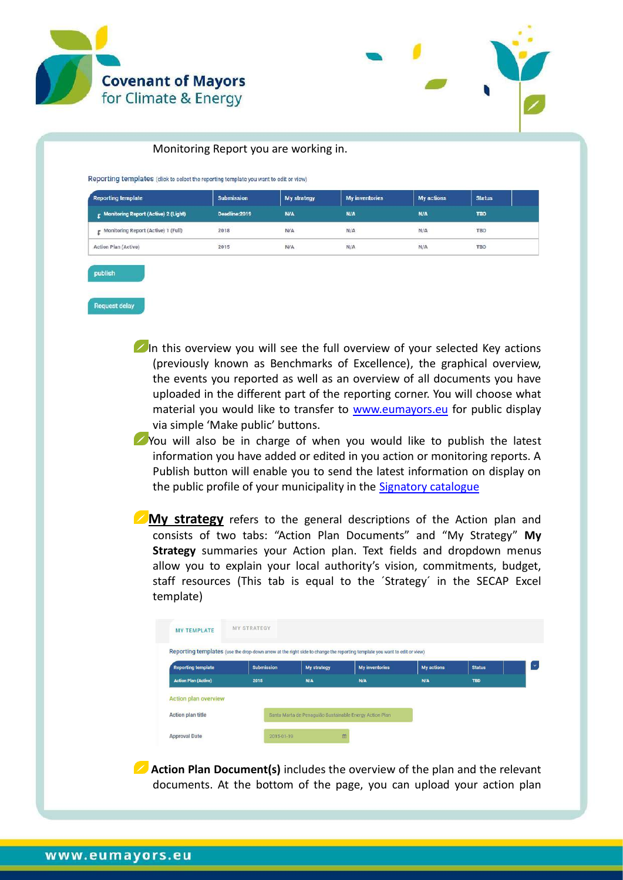



#### Monitoring Report you are working in.

Reporting templates (click to select the reporting template you want to edit or view)

| <b>Reporting template</b>              | <b>Submission</b> | My strategy        | <b>My inventories</b> | My actions    | <b>Status</b> |
|----------------------------------------|-------------------|--------------------|-----------------------|---------------|---------------|
| r Monitoring Report (Active) 2 (Light) | Deadline:2019     | <b>N/A</b>         | N/A                   | N/A           | <b>TBD</b>    |
| Monitoring Report (Active) 1 (Full)    | 2018              | N/A                | $N/\Delta$            | $N/\Delta$    | TBD<br>113123 |
| Action Plan (Active)                   | エイプショー<br>2015    | <b>NOCK</b><br>N/A | 10000<br>N/A          | 424454<br>N/A | TBD           |

publish

Request delay

In this overview you will see the full overview of your selected Key actions (previously known as Benchmarks of Excellence), the graphical overview, the events you reported as well as an overview of all documents you have uploaded in the different part of the reporting corner. You will choose what material you would like to transfer to [www.eumayors.eu](http://www.eumayors.eu/) for public display via simple 'Make public' buttons.

You will also be in charge of when you would like to publish the latest information you have added or edited in you action or monitoring reports. A Publish button will enable you to send the latest information on display on the public profile of your municipality in the [Signatory catalogue](http://www.covenantofmayors.eu/about/covenant-community/signatories.html)

**My strategy** refers to the general descriptions of the Action plan and consists of two tabs: "Action Plan Documents" and "My Strategy" **My Strategy** summaries your Action plan. Text fields and dropdown menus allow you to explain your local authority's vision, commitments, budget, staff resources (This tab is equal to the ´Strategy´ in the SECAP Excel template)



**Action Plan Document(s)** includes the overview of the plan and the relevant documents. At the bottom of the page, you can upload your action plan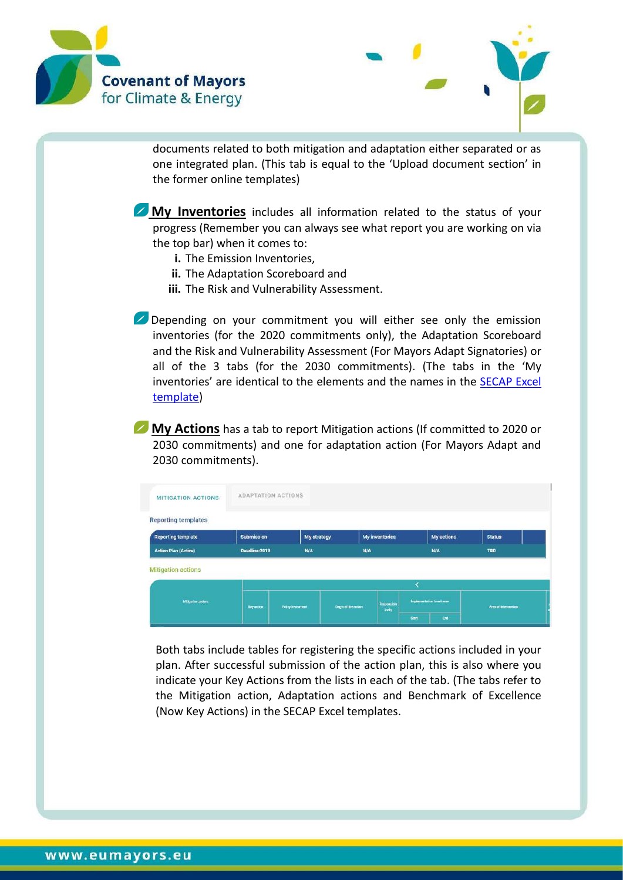



documents related to both mitigation and adaptation either separated or as one integrated plan. (This tab is equal to the 'Upload document section' in the former online templates)

**My Inventories** includes all information related to the status of your progress (Remember you can always see what report you are working on via the top bar) when it comes to:

- **i.** The Emission Inventories,
- **ii.** The Adaptation Scoreboard and
- **iii.** The Risk and Vulnerability Assessment.

Depending on your commitment you will either see only the emission inventories (for the 2020 commitments only), the Adaptation Scoreboard and the Risk and Vulnerability Assessment (For Mayors Adapt Signatories) or all of the 3 tabs (for the 2030 commitments). (The tabs in the 'My inventories' are identical to the elements and the names in the [SECAP](http://www.covenantofmayors.eu/index.php?option=com_attachments&task=download&id=142) Excel [template\)](http://www.covenantofmayors.eu/index.php?option=com_attachments&task=download&id=142)

**My Actions** has a tab to report Mitigation actions (If committed to 2020 or 2030 commitments) and one for adaptation action (For Mayors Adapt and 2030 commitments).

| MITIGATION ACTIONS          |                             | <b>ADAPTATION ACTIONS</b> |                      |                     |              |                          |                       |  |
|-----------------------------|-----------------------------|---------------------------|----------------------|---------------------|--------------|--------------------------|-----------------------|--|
| <b>Reporting templates</b>  |                             |                           |                      |                     |              |                          |                       |  |
| <b>Reporting template</b>   | Submission                  | My strategy               |                      | My inventories      |              | My actions               | <b>Status</b>         |  |
| <b>Action Plan (Active)</b> | <b>N/A</b><br>Deadline:2019 |                           | N/A                  |                     | N/A          | <b>TBD</b>               |                       |  |
| <b>Mitigation actions</b>   |                             |                           |                      |                     |              |                          |                       |  |
|                             |                             |                           |                      |                     |              |                          |                       |  |
| Miligation autons           | <b>Key action</b>           | Pulicy Instrument         | Dright of the action | Responsible<br>body |              | Implementation Impelbane | Area of Intervention: |  |
|                             |                             |                           |                      |                     | <b>Start</b> | End                      |                       |  |

Both tabs include tables for registering the specific actions included in your plan. After successful submission of the action plan, this is also where you indicate your Key Actions from the lists in each of the tab. (The tabs refer to the Mitigation action, Adaptation actions and Benchmark of Excellence (Now Key Actions) in the SECAP Excel templates.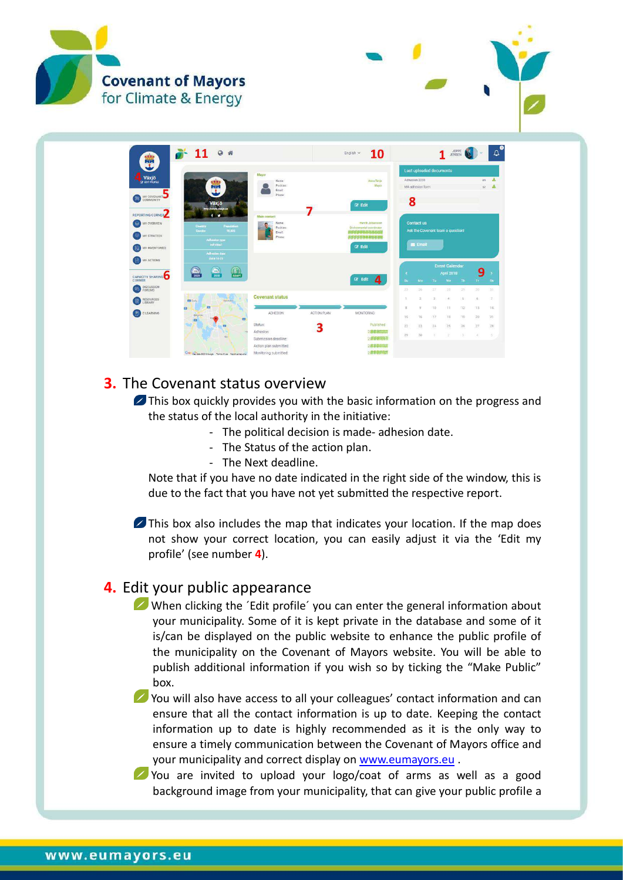



#### <span id="page-5-0"></span>**3.** The Covenant status overview

**Z** This box quickly provides you with the basic information on the progress and the status of the local authority in the initiative:

- The political decision is made- adhesion date.
- The Status of the action plan.
- The Next deadline.

Note that if you have no date indicated in the right side of the window, this is due to the fact that you have not yet submitted the respective report.

This box also includes the map that indicates your location. If the map does not show your correct location, you can easily adjust it via the 'Edit my profile' (see number **4**).

#### <span id="page-5-1"></span>**4.** Edit your public appearance

When clicking the 'Edit profile' you can enter the general information about your municipality. Some of it is kept private in the database and some of it is/can be displayed on the public website to enhance the public profile of the municipality on the Covenant of Mayors website. You will be able to publish additional information if you wish so by ticking the "Make Public" box.

You will also have access to all your colleagues' contact information and can ensure that all the contact information is up to date. Keeping the contact information up to date is highly recommended as it is the only way to ensure a timely communication between the Covenant of Mayors office and your municipality and correct display on [www.eumayors.eu](http://www.eumayors.eu/) .

You are invited to upload your logo/coat of arms as well as a good background image from your municipality, that can give your public profile a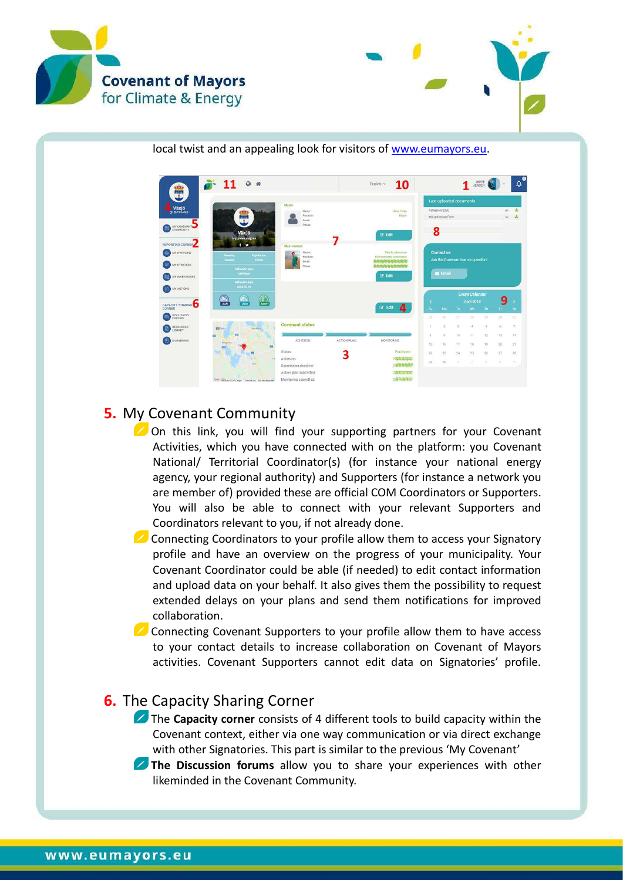



local twist and an appealing look for visitors of [www.eumayors.eu.](http://www.eumayors.eu/)



### <span id="page-6-0"></span>**5.** My Covenant Community

On this link, you will find your supporting partners for your Covenant Activities, which you have connected with on the platform: you Covenant National/ Territorial Coordinator(s) (for instance your national energy agency, your regional authority) and Supporters (for instance a network you are member of) provided these are official COM Coordinators or Supporters. You will also be able to connect with your relevant Supporters and Coordinators relevant to you, if not already done.

 $\triangleright$  Connecting Coordinators to your profile allow them to access your Signatory profile and have an overview on the progress of your municipality. Your Covenant Coordinator could be able (if needed) to edit contact information and upload data on your behalf. It also gives them the possibility to request extended delays on your plans and send them notifications for improved collaboration.

**Z** Connecting Covenant Supporters to your profile allow them to have access to your contact details to increase collaboration on Covenant of Mayors activities. Covenant Supporters cannot edit data on Signatories' profile.

## <span id="page-6-1"></span>**6.** The Capacity Sharing Corner

The **Capacity corner** consists of 4 different tools to build capacity within the Covenant context, either via one way communication or via direct exchange with other Signatories. This part is similar to the previous 'My Covenant'

**The Discussion forums** allow you to share your experiences with other likeminded in the Covenant Community.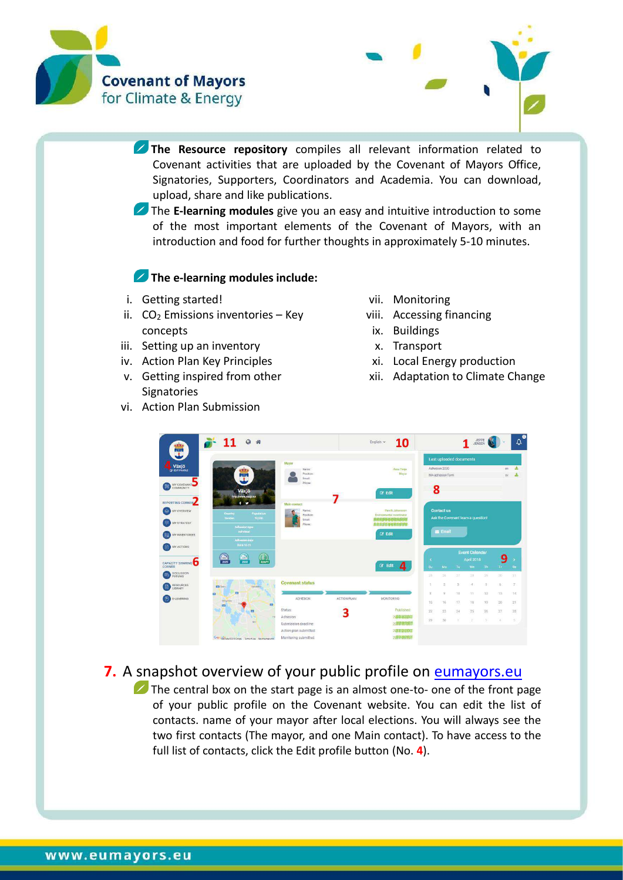



- **The Resource repository** compiles all relevant information related to Covenant activities that are uploaded by the Covenant of Mayors Office, Signatories, Supporters, Coordinators and Academia. You can download, upload, share and like publications.
- **The E-learning modules** give you an easy and intuitive introduction to some of the most important elements of the Covenant of Mayors, with an introduction and food for further thoughts in approximately 5-10 minutes.

#### **The e-learning modules include:**

- i. Getting started!
- ii.  $CO<sub>2</sub>$  Emissions inventories Key concepts
- iii. Setting up an inventory
- iv. Action Plan Key Principles
- v. Getting inspired from other **Signatories**
- vi. Action Plan Submission
- vii. Monitoring
- viii. Accessing financing
- ix. Buildings
- x. Transport
- xi. Local Energy production
- xii. Adaptation to Climate Change



### <span id="page-7-0"></span>**7.** A snapshot overview of your public profile on [eumayors.eu](http://www.eumayors.eu/)

 $\blacktriangleright$  The central box on the start page is an almost one-to- one of the front page of your public profile on the Covenant website. You can edit the list of contacts. name of your mayor after local elections. You will always see the two first contacts (The mayor, and one Main contact). To have access to the full list of contacts, click the Edit profile button (No. **4**).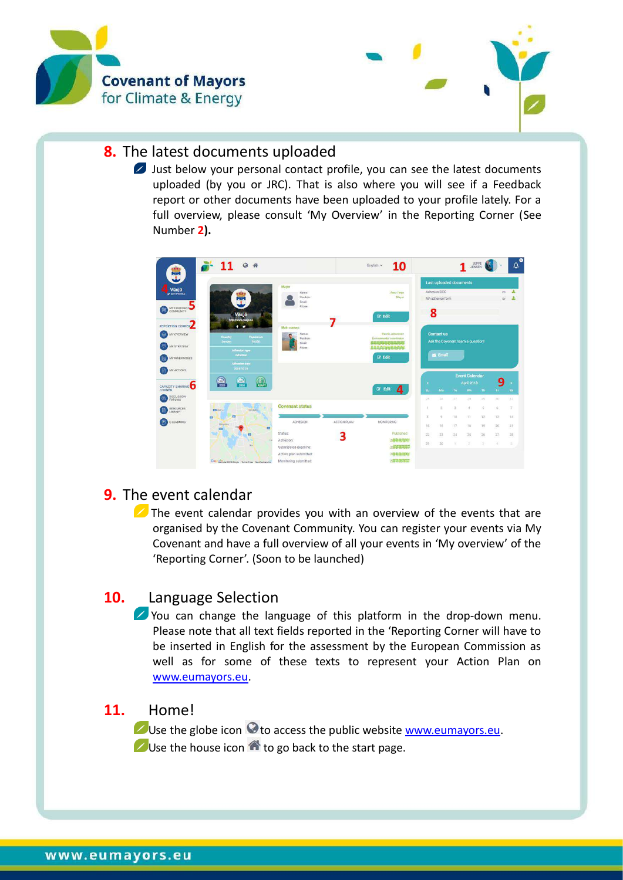



### <span id="page-8-0"></span>**8.** The latest documents uploaded

**2** Just below your personal contact profile, you can see the latest documents uploaded (by you or JRC). That is also where you will see if a Feedback report or other documents have been uploaded to your profile lately. For a full overview, please consult 'My Overview' in the Reporting Corner (See Number **2).**



## <span id="page-8-1"></span>**9.** The event calendar

 $\triangleright$  The event calendar provides you with an overview of the events that are organised by the Covenant Community. You can register your events via My Covenant and have a full overview of all your events in 'My overview' of the 'Reporting Corner'. (Soon to be launched)

## <span id="page-8-2"></span>**10.** Language Selection

You can change the language of this platform in the drop-down menu. Please note that all text fields reported in the 'Reporting Corner will have to be inserted in English for the assessment by the European Commission as well as for some of these texts to represent your Action Plan on [www.eumayors.eu.](http://www.eumayors.eu/)

#### <span id="page-8-3"></span>**11.** Home!

Use the globe icon  $\odot$  to access the public website [www.eumayors.eu.](http://www.eumayors.eu/)  $\bigcup$  Use the house icon  $\bigcirc$  to go back to the start page.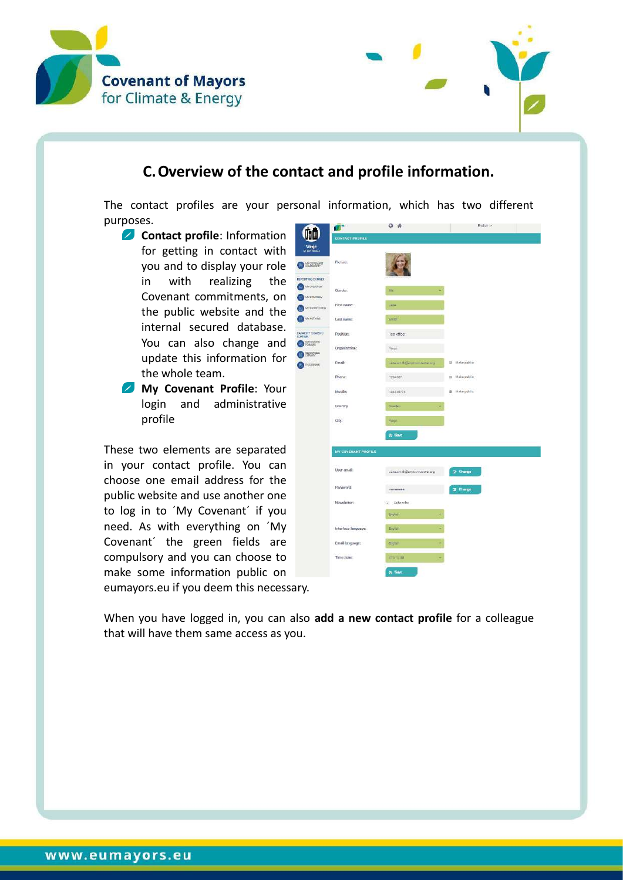



## **C.Overview of the contact and profile information.**

<span id="page-9-0"></span>The contact profiles are your personal information, which has two different purposes.

> (M Varj **O** William

 $\bullet$ 

**Contact profile**: Information for getting in contact with you and to display your role in with realizing the Covenant commitments, on the public website and the internal secured database. You can also change and **of the Stru** update this information for the whole team.

**My Covenant Profile**: Your login and administrative profile

These two elements are separated in your contact profile. You can choose one email address for the public website and use another one to log in to ´My Covenant´ if you need. As with everything on ´My Covenant´ the green fields are compulsory and you can choose to make some information public on eumayors.eu if you deem this necessary.

|                        | $Q - H$                          | Englan w-       |
|------------------------|----------------------------------|-----------------|
| <b>CONTACT PROFILE</b> |                                  |                 |
| Picture:               |                                  |                 |
| Gender.                | us.                              |                 |
| First name:            | <b>Uarre</b>                     |                 |
| Last name:             | <b>Gmill</b>                     |                 |
| Position:              | Tept officer                     |                 |
| Organisation:          | Vent                             |                 |
| Email:                 | Jaya and its Gangtown bestes say | 图 Meke public   |
| Phone:                 | 1224567                          | o Make public   |
| Mobile:                | 128406778                        | B Make public   |
| Country                | Stringer.                        |                 |
| City:                  | Negot                            |                 |
|                        | <b>P</b> <sub>i</sub> Save       |                 |
| MY COVENANT PROFILE    |                                  |                 |
| User email:            | Janu.enth@anytown.techec.org     | (2) Change      |
| Password:              | ********                         | <b>Z</b> Change |
| Newsletter:            | $-$ Subscribe                    |                 |
|                        | <b>Bright</b>                    |                 |
| Interface language:    | Bruilah <sup>1</sup><br>G,       |                 |
| Email language:        | Eiglich                          |                 |
| Time zone:             | UTG - UU<br>u                    |                 |

When you have logged in, you can also **add a new contact profile** for a colleague that will have them same access as you.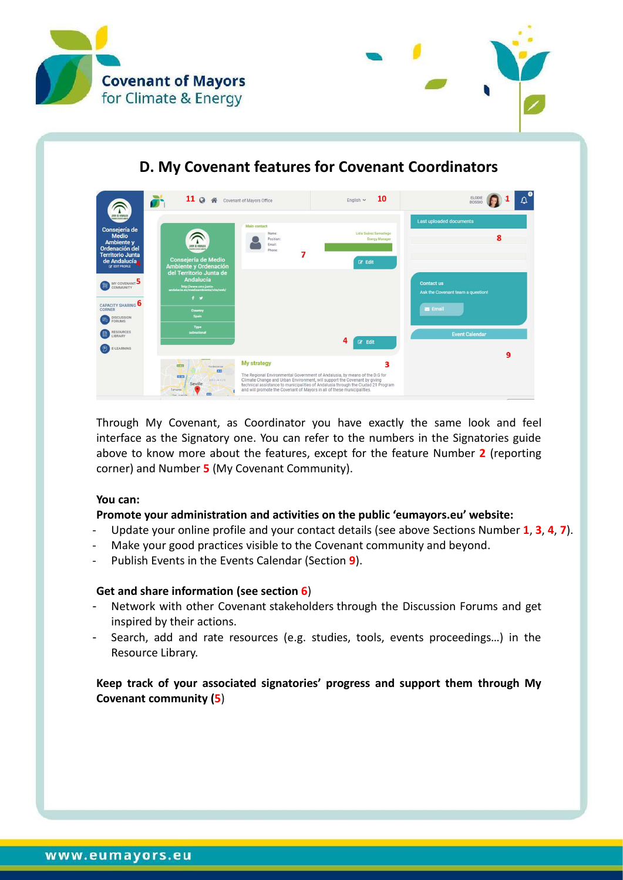



# **D. My Covenant features for Covenant Coordinators**

<span id="page-10-0"></span>

| ⌒<br>ATOM DE ANDREACH                                                                                                                            | $11^\circ$<br>合<br>W                                                                                                                                                  | Covenant of Mayors Office                                                                                                                                                  | 10<br>English $\sim$                                                                                                                                                  | O<br>ELODIE<br>$\Delta$<br><b>BOSSIO</b>                                                 |
|--------------------------------------------------------------------------------------------------------------------------------------------------|-----------------------------------------------------------------------------------------------------------------------------------------------------------------------|----------------------------------------------------------------------------------------------------------------------------------------------------------------------------|-----------------------------------------------------------------------------------------------------------------------------------------------------------------------|------------------------------------------------------------------------------------------|
| Consejería de<br><b>Medio</b><br>Ambiente y<br>Ordenación del<br><b>Territorio Junta</b><br>de Andalucía<br><b>IZ EDIT PROFILE</b>               | JUNIOR DE AMBAILLE<br><b>Consejería de Medio</b><br>Ambiente y Ordenación                                                                                             | Main contact<br>Name:<br>Position:<br>Email:<br>Phone:                                                                                                                     | Lidia Suárez Samadiego<br><b>Energy Manager</b><br>$\mathbb{Z}^*$ Edit                                                                                                | Last uploaded documents<br>8                                                             |
| MY COVENANT<br><b>COMMUNITY</b><br>CAPACITY SHARING<br>CORNER<br><b>DISCUSSION</b><br><b>FORUMS</b><br><b>RESOURCES</b><br>LIBRARY<br>E-LEARNING | del Territorio Junta de<br><b>Andalucía</b><br>http://www.cma.junta-<br>andalucia.es/medioambiente/site/web/<br>$f \times$<br>Country<br>Spain<br>Type<br>subnational |                                                                                                                                                                            | 4<br>$\mathbb{Z}$ Edit                                                                                                                                                | <b>Contact us</b><br>Ask the Covenant team a question!<br>Email<br><b>Event Calendar</b> |
|                                                                                                                                                  | 1.00<br><b>Valdezonias</b><br>m<br><b>Bisol</b><br>SEVALA ESTE:<br>Seville<br>Tomares<br>m<br>San Joan &                                                              | <b>My strategy</b><br>Climate Change and Urban Environment, will support the Covenant by giving<br>and will promote the Covenant of Mayors in all of these municipalities. | 3<br>The Regional Environmental Government of Andalusia, by means of the D.G for<br>technical assistance to municipalities of Andalusia through the Ciudad 21 Program | 9                                                                                        |

Through My Covenant, as Coordinator you have exactly the same look and feel interface as the Signatory one. You can refer to the numbers in the Signatories guide above to know more about the features, except for the feature Number **2** (reporting corner) and Number **5** (My Covenant Community).

#### **You can:**

#### **Promote your administration and activities on the public 'eumayors.eu' website:**

- Update your online profile and your contact details (see above Sections Number **1**, **3**, **4**, **7**).
- Make your good practices visible to the Covenant community and beyond.
- Publish [Events](http://www.covenantofmayors.eu/agenda_en.html) in the Events Calendar (Section 9).

#### **Get and share information (see section 6**)

- Network with other Covenant stakeholders through the [Discussion Forums](http://mycovenant.eumayors.eu/forum/?sessionid=a08f5be23ccb5ad400513459b1a35a68) and get inspired by their actions.
- Search, add and rate resources (e.g. studies, tools, events proceedings…) in the [Resource Library.](http://mycovenant.eumayors.eu/forum/library.html?sessionid=a08f5be23ccb5ad400513459b1a35a68)

#### **Keep track of your associated signatories' progress and support them through My Covenant community (5**)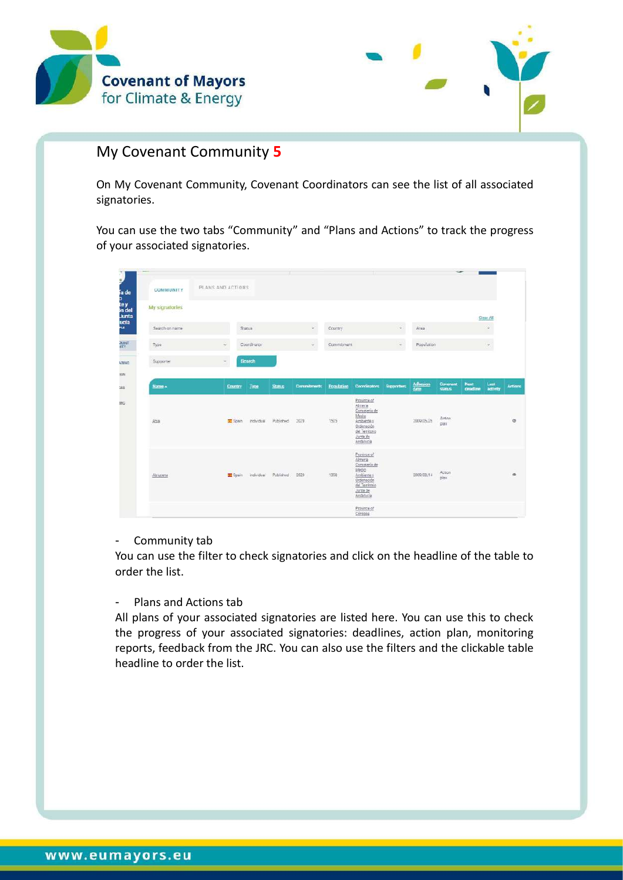



### My Covenant Community **5**

On My Covenant Community, Covenant Coordinators can see the list of all associated signatories.

You can use the two tabs "Community" and "Plans and Actions" to track the progress of your associated signatories.

| i.                      |                |                          |                  |               |             |            |                                                                                                                          |                   |                                             |                    |                         |                      |                |
|-------------------------|----------------|--------------------------|------------------|---------------|-------------|------------|--------------------------------------------------------------------------------------------------------------------------|-------------------|---------------------------------------------|--------------------|-------------------------|----------------------|----------------|
| ia de<br>b.             | COMMUNITY      | PLANS AND ACTIONS        |                  |               |             |            |                                                                                                                          |                   |                                             |                    |                         |                      |                |
| le y<br>In del<br>Junta | My signatories |                          |                  |               |             |            |                                                                                                                          |                   |                                             |                    |                         | Clear All            |                |
| ucía<br>as.             | Search on name | Status                   |                  |               | v.          | Country    |                                                                                                                          | $\omega$ .        | Area                                        |                    |                         | ó.                   |                |
| deaset<br>ATV           | Type           | $\ddot{\mathbf{v}}$      | Coordinator      |               | W)          | Commitment |                                                                                                                          | v.                | Population                                  |                    |                         | $\ddot{\phantom{0}}$ |                |
| 1RING                   | Supporter      | $\overline{\phantom{a}}$ | <b>Scorch</b>    |               |             |            |                                                                                                                          |                   |                                             |                    |                         |                      |                |
| (ON)                    |                |                          |                  |               |             |            |                                                                                                                          |                   |                                             |                    |                         |                      |                |
| 285                     | <b>Name A</b>  | <b>Country</b>           | Type             | <b>Status</b> | Commitments | Population | <b>Coordinators</b>                                                                                                      | <b>Supportant</b> | $\frac{\Delta \text{dhesion}}{\text{data}}$ | Coverant<br>status | <b>Next</b><br>deadline | Last<br>activity     | <b>Actions</b> |
| ING                     | Ahia           | <b>E</b> Spain           | individual       | Published     | 2020        | 1505       | Province of<br>Almeria<br>Consejería de<br>Media<br>Ambiente v<br>Ordenación<br>del Territorio<br>Junta de<br>Andalucia  |                   | 2009/05/25                                  | Action<br>plan     |                         |                      | $\circ$        |
|                         | Abriccena      |                          | Spein individual | Published     | 2020        | 1358       | Province of<br>Almenia<br>Conseiería de<br>Medio<br>Arobiente y<br>Ordensción<br>del Territorio<br>Junta de<br>Andelucia |                   | 2009/08/14                                  | Action<br>plan     |                         |                      | ۰              |
|                         |                |                          |                  |               |             |            | Province of<br>Cordoba                                                                                                   |                   |                                             |                    |                         |                      |                |

#### - Community tab

You can use the filter to check signatories and click on the headline of the table to order the list.

- Plans and Actions tab

All plans of your associated signatories are listed here. You can use this to check the progress of your associated signatories: deadlines, action plan, monitoring reports, feedback from the JRC. You can also use the filters and the clickable table headline to order the list.